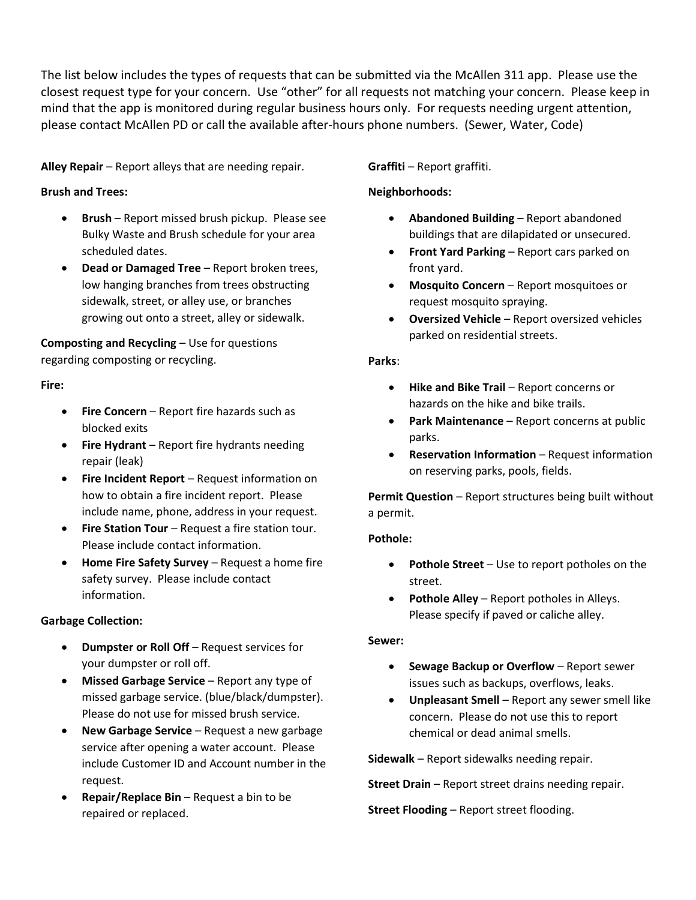The list below includes the types of requests that can be submitted via the McAllen 311 app. Please use the closest request type for your concern. Use "other" for all requests not matching your concern. Please keep in mind that the app is monitored during regular business hours only. For requests needing urgent attention, please contact McAllen PD or call the available after-hours phone numbers. (Sewer, Water, Code)

Alley Repair – Report alleys that are needing repair.

### Brush and Trees:

- Brush Report missed brush pickup. Please see Bulky Waste and Brush schedule for your area scheduled dates.
- Dead or Damaged Tree Report broken trees, low hanging branches from trees obstructing sidewalk, street, or alley use, or branches growing out onto a street, alley or sidewalk.

Composting and Recycling – Use for questions regarding composting or recycling.

### Fire:

- Fire Concern Report fire hazards such as blocked exits
- $\bullet$  Fire Hydrant Report fire hydrants needing repair (leak)
- Fire Incident Report Request information on how to obtain a fire incident report. Please include name, phone, address in your request.
- Fire Station Tour Request a fire station tour. Please include contact information.
- Home Fire Safety Survey Request a home fire safety survey. Please include contact information.

# Garbage Collection:

- Dumpster or Roll Off Request services for your dumpster or roll off.
- Missed Garbage Service Report any type of missed garbage service. (blue/black/dumpster). Please do not use for missed brush service.
- New Garbage Service Request a new garbage service after opening a water account. Please include Customer ID and Account number in the request.
- Repair/Replace Bin Request a bin to be repaired or replaced.

Graffiti – Report graffiti.

# Neighborhoods:

- Abandoned Building Report abandoned buildings that are dilapidated or unsecured.
- Front Yard Parking Report cars parked on front yard.
- Mosquito Concern Report mosquitoes or request mosquito spraying.
- Oversized Vehicle Report oversized vehicles parked on residential streets.

### Parks:

- Hike and Bike Trail Report concerns or hazards on the hike and bike trails.
- Park Maintenance Report concerns at public parks.
- Reservation Information Request information on reserving parks, pools, fields.

Permit Question - Report structures being built without a permit.

#### Pothole:

- Pothole Street Use to report potholes on the street.
- Pothole Alley Report potholes in Alleys. Please specify if paved or caliche alley.

#### Sewer:

- Sewage Backup or Overflow Report sewer issues such as backups, overflows, leaks.
- Unpleasant Smell Report any sewer smell like concern. Please do not use this to report chemical or dead animal smells.

Sidewalk – Report sidewalks needing repair.

Street Drain - Report street drains needing repair.

Street Flooding - Report street flooding.